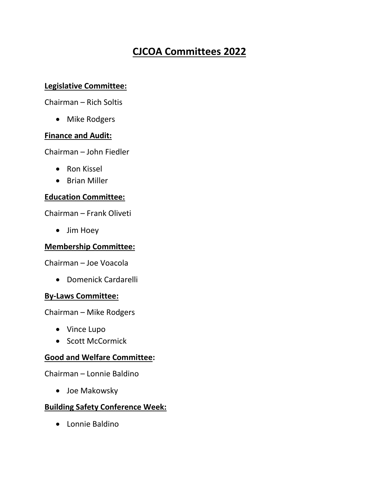# **CJCOA Committees 2022**

## **Legislative Committee:**

Chairman – Rich Soltis

• Mike Rodgers

#### **Finance and Audit:**

Chairman – John Fiedler

- Ron Kissel
- Brian Miller

## **Education Committee:**

Chairman – Frank Oliveti

• Jim Hoey

#### **Membership Committee:**

Chairman – Joe Voacola

• Domenick Cardarelli

#### **By-Laws Committee:**

Chairman – Mike Rodgers

- Vince Lupo
- Scott McCormick

## **Good and Welfare Committee:**

Chairman – Lonnie Baldino

• Joe Makowsky

## **Building Safety Conference Week:**

• Lonnie Baldino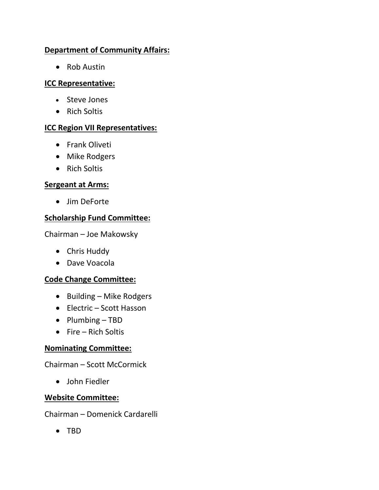## **Department of Community Affairs:**

• Rob Austin

## **ICC Representative:**

- Steve Jones
- Rich Soltis

## **ICC Region VII Representatives:**

- Frank Oliveti
- Mike Rodgers
- Rich Soltis

## **Sergeant at Arms:**

• Jim DeForte

## **Scholarship Fund Committee:**

Chairman – Joe Makowsky

- Chris Huddy
- Dave Voacola

## **Code Change Committee:**

- Building Mike Rodgers
- Electric Scott Hasson
- Plumbing TBD
- Fire Rich Soltis

## **Nominating Committee:**

Chairman – Scott McCormick

• John Fiedler

## **Website Committee:**

Chairman – Domenick Cardarelli

• TBD